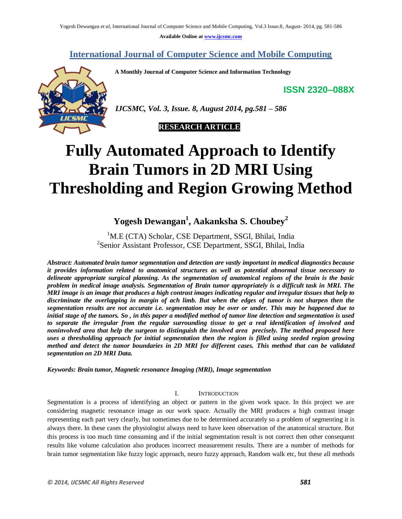**Available Online at www.ijcsmc.com**

# **International Journal of Computer Science and Mobile Computing**

**A Monthly Journal of Computer Science and Information Technology**

**ISSN 2320–088X**



*IJCSMC, Vol. 3, Issue. 8, August 2014, pg.581 – 586*

 **RESEARCH ARTICLE**

# **Fully Automated Approach to Identify Brain Tumors in 2D MRI Using Thresholding and Region Growing Method**

# **Yogesh Dewangan<sup>1</sup> , Aakanksha S. Choubey<sup>2</sup>**

<sup>1</sup>M.E (CTA) Scholar, CSE Department, SSGI, Bhilai, India 2 Senior Assistant Professor, CSE Department, SSGI, Bhilai, India

*Abstract: Automated brain tumor segmentation and detection are vastly important in medical diagnostics because it provides information related to anatomical structures as well as potential abnormal tissue necessary to delineate appropriate surgical planning. As the segmentation of anatomical regions of the brain is the basic problem in medical image analysis. Segmentation of Brain tumor appropriately is a difficult task in MRI. The MRI image is an image that produces a high contrast images indicating regular and irregular tissues that help to discriminate the overlapping in margin of ach limb. But when the edges of tumor is not sharpen then the segmentation results are not accurate i.e. segmentation may be over or under. This may be happened due to initial stage of the tumors. So , in this paper a modified method of tumor line detection and segmentation is used to separate the irregular from the regular surrounding tissue to get a real identification of involved and noninvolved area that help the surgeon to distinguish the involved area precisely. The method proposed here uses a thresholding approach for initial segmentation then the region is filled using seeded region growing method and detect the tumor boundaries in 2D MRI for different cases. This method that can be validated segmentation on 2D MRI Data.*

*Keywords: Brain tumor, Magnetic resonance Imaging (MRI), Image segmentation*

# I. INTRODUCTION

Segmentation is a process of identifying an object or pattern in the given work space. In this project we are considering magnetic resonance image as our work space. Actually the MRI produces a high contrast image representing each part very clearly, but sometimes due to be determined accurately so a problem of segmenting it is always there. In these cases the physiologist always need to have keen observation of the anatomical structure. But this process is too much time consuming and if the initial segmentation result is not correct then other consequent results like volume calculation also produces incorrect measurement results. There are a number of methods for brain tumor segmentation like fuzzy logic approach, neuro fuzzy approach, Random walk etc, but these all methods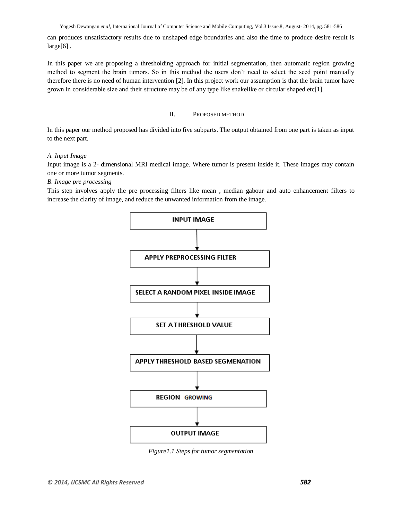Yogesh Dewangan *et al*, International Journal of Computer Science and Mobile Computing, Vol.3 Issue.8, August- 2014, pg. 581-586

can produces unsatisfactory results due to unshaped edge boundaries and also the time to produce desire result is large[6].

In this paper we are proposing a thresholding approach for initial segmentation, then automatic region growing method to segment the brain tumors. So in this method the users don't need to select the seed point manually therefore there is no need of human intervention [2]. In this project work our assumption is that the brain tumor have grown in considerable size and their structure may be of any type like snakelike or circular shaped etc[1].

# II. PROPOSED METHOD

In this paper our method proposed has divided into five subparts. The output obtained from one part is taken as input to the next part.

# *A. Input Image*

Input image is a 2- dimensional MRI medical image. Where tumor is present inside it. These images may contain one or more tumor segments.

# *B. Image pre processing*

This step involves apply the pre processing filters like mean , median gabour and auto enhancement filters to increase the clarity of image, and reduce the unwanted information from the image.



*Figure1.1 Steps for tumor segmentation*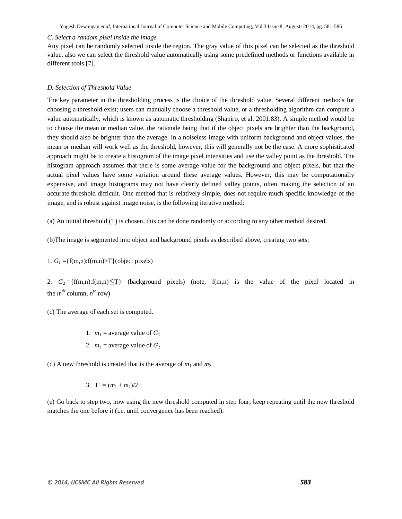Yogesh Dewangan *et al*, International Journal of Computer Science and Mobile Computing, Vol.3 Issue.8, August- 2014, pg. 581-586

#### *C. Select a random pixel inside the image*

Any pixel can be randomly selected inside the region. The gray value of this pixel can be selected as the threshold value, also we can select the threshold value automatically using some predefined methods or functions available in different tools [7].

#### *D. Selection of Threshold Value*

The key parameter in the thresholding process is the choice of the threshold value. Several different methods for choosing a threshold exist; users can manually choose a threshold value, or a thresholding algorithm can compute a value automatically, which is known as automatic thresholding [\(Shapiro, et al. 2001:83\).](http://en.wikipedia.org/wiki/Thresholding_(image_processing)#Shapiro2001) A simple method would be to choose the [mean](http://en.wikipedia.org/wiki/Mean) or [median](http://en.wikipedia.org/wiki/Median) value, the rationale being that if the object pixels are brighter than the background, they should also be brighter than the average. In a noiseless image with uniform background and object values, the mean or median will work well as the threshold, however, this will generally not be the case. A more sophisticated approach might be to create a [histogram](http://en.wikipedia.org/wiki/Histogram) of the image pixel intensities and use the valley point as the threshold. The histogram approach assumes that there is some average value for the background and object pixels, but that the actual pixel values have some variation around these average values. However, this may be computationally expensive, and image histograms may not have clearly defined valley points, often making the selection of an accurate threshold difficult. One method that is relatively simple, does not require much specific knowledge of the image, and is robust against [image noise,](http://en.wikipedia.org/wiki/Image_noise) is the following [iterative method:](http://en.wikipedia.org/wiki/Iterative_method)

(a) An initial threshold (T) is chosen, this can be done randomly or according to any other method desired.

(b)The image is segmented into object and background pixels as described above, creating two sets:

1*.*  $G_1 = \{f(m,n): f(m,n) > T\}$  (object pixels)

2.  $G_2 = \{f(m,n): f(m,n) \leq T\}$  (background pixels) (note,  $f(m,n)$  is the value of the pixel located in the  $m^{th}$  column,  $n^{th}$  row)

(c) The average of each set is computed.

1.  $m_1$  = average value of  $G_1$ 

2.  $m_2$  = average value of  $G_2$ 

(d) A new threshold is created that is the average of  $m_1$  and  $m_2$ 

3. 
$$
T' = (m_1 + m_2)/2
$$

(e) Go back to step two, now using the new threshold computed in step four, keep repeating until the new threshold matches the one before it (i.e. until convergence has been reached).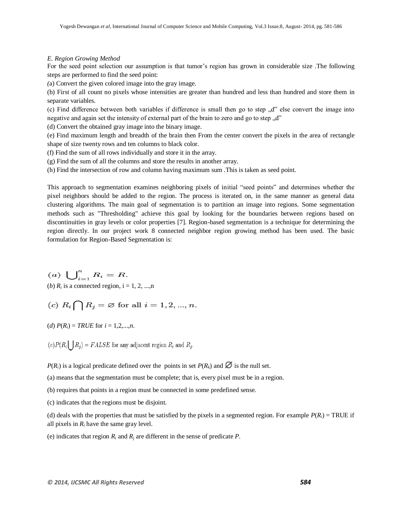#### *E. Region Growing Method*

For the seed point selection our assumption is that tumor's region has grown in considerable size .The following steps are performed to find the seed point:

*(*a) Convert the given colored image into the gray image.

(b) First of all count no pixels whose intensities are greater than hundred and less than hundred and store them in separate variables.

(c) Find difference between both variables if difference is small then go to step "d" else convert the image into negative and again set the intensity of external part of the brain to zero and go to step "d"

(d) Convert the obtained gray image into the binary image.

(e) Find maximum length and breadth of the brain then From the center convert the pixels in the area of rectangle shape of size twenty rows and ten columns to black color.

(f) Find the sum of all rows individually and store it in the array.

(g) Find the sum of all the columns and store the results in another array.

(h) Find the intersection of row and column having maximum sum .This is taken as seed point.

This approach to segmentation examines neighboring pixels of initial "seed points" and determines whether the pixel neighbors should be added to the region. The process is iterated on, in the same manner as general data clustering algorithms. The main goal of segmentation is to partition an image into regions. Some segmentation methods such as "Thresholding" achieve this goal by looking for the boundaries between regions based on discontinuities in gray levels or color properties [7]. Region-based segmentation is a technique for determining the region directly. In our project work 8 connected neighbor region growing method has been used. The basic formulation for Region-Based Segmentation is:

(a)  $\bigcup_{i=1}^{n} R_i = R$ . (*b*)  $R_i$  is a connected region,  $i = 1, 2, ..., n$ 

(c)  $R_i \cap R_j = \emptyset$  for all  $i = 1, 2, ..., n$ .

(*d*)  $P(R_i) = TRUE$  for  $i = 1, 2, ..., n$ .

 $(e)P(R_i | R_i) = FALSE$  for any adjacent region  $R_i$  and  $R_i$ .

 $P(R_i)$  is a [logical predicate](http://en.wikipedia.org/wiki/Logical_predicate) defined over the points in set  $P(R_k)$  and  $\emptyset$  is the null set.

(a) means that the segmentation must be complete; that is, every pixel must be in a region.

(b) requires that points in a region must be connected in some predefined sense.

(c) indicates that the regions must be disjoint.

(d) deals with the properties that must be satisfied by the pixels in a segmented region. For example  $P(R_i) = \text{TRUE}$  if all pixels in  $R_i$  have the same gray level.

(e) indicates that region  $R_i$  and  $R_j$  are different in the sense of predicate  $P$ .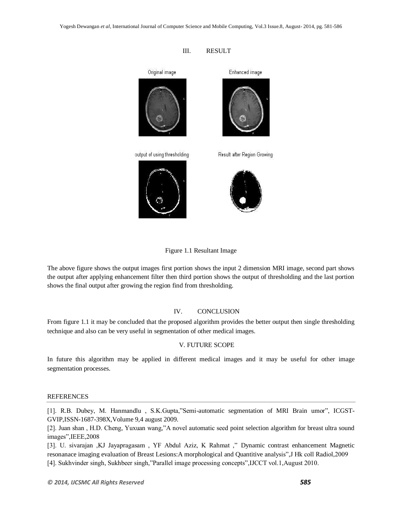

Figure 1.1 Resultant Image

The above figure shows the output images first portion shows the input 2 dimension MRI image, second part shows the output after applying enhancement filter then third portion shows the output of thresholding and the last portion shows the final output after growing the region find from thresholding.

#### IV. CONCLUSION

From figure 1.1 it may be concluded that the proposed algorithm provides the better output then single thresholding technique and also can be very useful in segmentation of other medical images.

#### V. FUTURE SCOPE

In future this algorithm may be applied in different medical images and it may be useful for other image segmentation processes.

# **REFERENCES**

[1]. R.B. Dubey, M. Hanmandlu , S.K.Gupta,"Semi-automatic segmentation of MRI Brain umor", ICGST-GVIP,ISSN-1687-398X,Volume 9,4 august 2009.

[2]. Juan shan , H.D. Cheng, Yuxuan wang,"A novel automatic seed point selection algorithm for breast ultra sound images",IEEE,2008

[3]. U. sivarajan ,KJ Jayapragasam , YF Abdul Aziz, K Rahmat ," Dynamic contrast enhancement Magnetic resonanace imaging evaluation of Breast Lesions:A morphological and Quantitive analysis",J Hk coll Radiol,2009 [4]. Sukhvinder singh, Sukhbeer singh,"Parallel image processing concepts",IJCCT vol.1,August 2010.